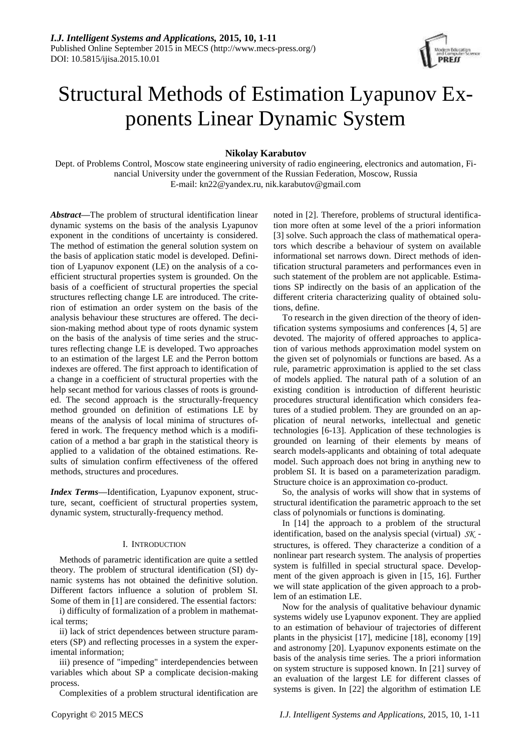

# Structural Methods of Estimation Lyapunov Exponents Linear Dynamic System

## **Nikolay Karabutov**

Dept. of Problems Control, Moscow state engineering university of radio engineering, electronics and automation, Financial University under the government of the Russian Federation, Moscow, Russia E-mail: kn22@yandex.ru, nik.karabutov@gmail.com

*Abstract***—**The problem of structural identification linear dynamic systems on the basis of the analysis Lyapunov exponent in the conditions of uncertainty is considered. The method of estimation the general solution system on the basis of application static model is developed. Definition of Lyapunov exponent (LE) on the analysis of a coefficient structural properties system is grounded. On the basis of a coefficient of structural properties the special structures reflecting change LE are introduced. The criterion of estimation an order system on the basis of the analysis behaviour these structures are offered. The decision-making method about type of roots dynamic system on the basis of the analysis of time series and the structures reflecting change LE is developed. Two approaches to an estimation of the largest LE and the Perron bottom indexes are offered. The first approach to identification of a change in a coefficient of structural properties with the help secant method for various classes of roots is grounded. The second approach is the structurally-frequency method grounded on definition of estimations LE by means of the analysis of local minima of structures offered in work. The frequency method which is a modification of a method a bar graph in the statistical theory is applied to a validation of the obtained estimations. Results of simulation confirm effectiveness of the offered methods, structures and procedures.

*Index Terms***—**Identification, Lyapunov exponent, structure, secant, coefficient of structural properties system, dynamic system, structurally-frequency method.

## I. INTRODUCTION

Methods of parametric identification are quite a settled theory. The problem of structural identification (SI) dynamic systems has not obtained the definitive solution. Different factors influence a solution of problem SI. Some of them in [1] are considered. The essential factors:

i) difficulty of formalization of a problem in mathematical terms;

ii) lack of strict dependences between structure parameters (SP) and reflecting processes in a system the experimental information;

iii) presence of "impeding" interdependencies between variables which about SP a complicate decision-making process.

Complexities of a problem structural identification are

noted in [2]. Therefore, problems of structural identification more often at some level of the a priori information [3] solve. Such approach the class of mathematical operators which describe a behaviour of system on available informational set narrows down. Direct methods of identification structural parameters and performances even in such statement of the problem are not applicable. Estimations SP indirectly on the basis of an application of the different criteria characterizing quality of obtained solutions, define.

To research in the given direction of the theory of identification systems symposiums and conferences [4, 5] are devoted. The majority of offered approaches to application of various methods approximation model system on the given set of polynomials or functions are based. As a rule, parametric approximation is applied to the set class of models applied. The natural path of a solution of an existing condition is introduction of different heuristic procedures structural identification which considers features of a studied problem. They are grounded on an application of neural networks, intellectual and genetic technologies [6-13]. Application of these technologies is grounded on learning of their elements by means of search models-applicants and obtaining of total adequate model. Such approach does not bring in anything new to problem SI. It is based on a parameterization paradigm. Structure choice is an approximation co-product.

So, the analysis of works will show that in systems of structural identification the parametric approach to the set class of polynomials or functions is dominating.

In [14] the approach to a problem of the structural identification, based on the analysis special (virtual) *SK* structures, is offered. They characterize a condition of a nonlinear part research system. The analysis of properties system is fulfilled in special structural space. Development of the given approach is given in [15, 16]. Further we will state application of the given approach to a problem of an estimation LE.

Now for the analysis of qualitative behaviour dynamic systems widely use Lyapunov exponent. They are applied to an estimation of behaviour of trajectories of different plants in the physicist [17], medicine [18], economy [19] and astronomy [20]. Lyapunov exponents estimate on the basis of the analysis time series. The a priori information on system structure is supposed known. In [21] survey of an evaluation of the largest LE for different classes of systems is given. In [22] the algorithm of estimation LE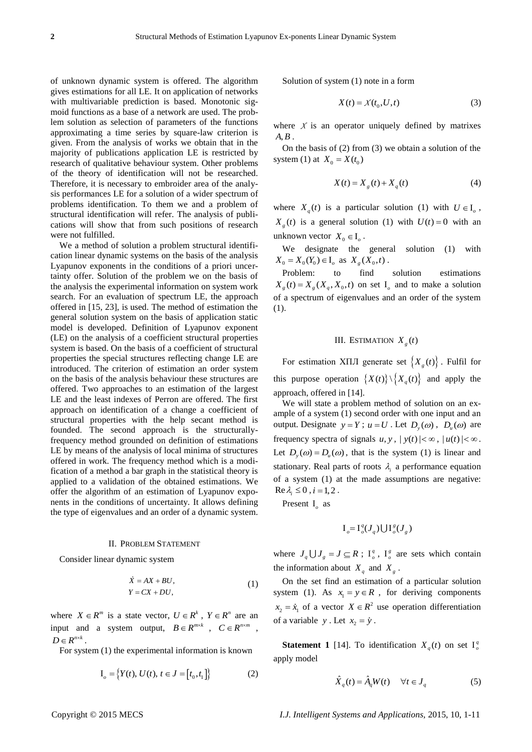of unknown dynamic system is offered. The algorithm gives estimations for all LE. It on application of networks with multivariable prediction is based. Monotonic sigmoid functions as a base of a network are used. The problem solution as selection of parameters of the functions approximating a time series by square-law criterion is given. From the analysis of works we obtain that in the majority of publications application LE is restricted by research of qualitative behaviour system. Other problems of the theory of identification will not be researched. Therefore, it is necessary to embroider area of the analysis performances LE for a solution of a wider spectrum of problems identification. To them we and a problem of structural identification will refer. The analysis of publications will show that from such positions of research were not fulfilled.

We a method of solution a problem structural identification linear dynamic systems on the basis of the analysis Lyapunov exponents in the conditions of a priori uncertainty offer. Solution of the problem we on the basis of the analysis the experimental information on system work search. For an evaluation of spectrum LE, the approach offered in [15, 23], is used. The method of estimation the general solution system on the basis of application static model is developed. Definition of Lyapunov exponent (LE) on the analysis of a coefficient structural properties system is based. On the basis of a coefficient of structural properties the special structures reflecting change LE are introduced. The criterion of estimation an order system on the basis of the analysis behaviour these structures are offered. Two approaches to an estimation of the largest LE and the least indexes of Perron are offered. The first approach on identification of a change a coefficient of structural properties with the help secant method is founded. The second approach is the structurallyfrequency method grounded on definition of estimations LE by means of the analysis of local minima of structures offered in work. The frequency method which is a modification of a method a bar graph in the statistical theory is applied to a validation of the obtained estimations. We offer the algorithm of an estimation of Lyapunov exponents in the conditions of uncertainty. It allows defining the type of eigenvalues and an order of a dynamic system.

#### II. PROBLEM STATEMENT

Consider linear dynamic system

$$
\begin{aligned}\n\dot{X} &= AX + BU, \\
Y &= CX + DU,\n\end{aligned}\n\tag{1}
$$

where  $X \in \mathbb{R}^m$  is a state vector,  $U \in \mathbb{R}^k$ ,  $Y \in \mathbb{R}^n$  are an input and a system output,  $B \in R^{m \times k}$ ,  $C \in R^{n \times m}$ ,  $D \in R^{n \times k}$ .

For system (1) the experimental information is known

$$
I_o = \{ Y(t), U(t), t \in J = [t_0, t_1] \}
$$
 (2)

Solution of system (1) note in a form

$$
X(t) = X(t_0, U, t)
$$
\n(3)

where  $X$  is an operator uniquely defined by matrixes  $A, B$ .

On the basis of (2) from (3) we obtain a solution of the system (1) at  $X_0 = X(t_0)$ 

$$
X(t) = X_g(t) + X_q(t)
$$
 (4)

where  $X_q(t)$  is a particular solution (1) with  $U \in I_q$ ,  $X_g(t)$  is a general solution (1) with  $U(t) = 0$  with an unknown vector  $X_0 \in I_\rho$ .

We designate the general solution (1) with  $X_0 = X_0(Y_0) \in I_\rho \text{ as } X_g(X_0, t)$ .

Problem: to find solution estimations  $X_g(t) = X_g(X_g, X_0, t)$  on set  $I_o$  and to make a solution of a spectrum of eigenvalues and an order of the system (1).

# III. ESTIMATION  $X_g(t)$

For estimation XIII generate set  $\{X_g(t)\}\$ . Fulfil for this purpose operation  $\{X(t)\}\setminus \{X_q(t)\}\$  and apply the approach, offered in [14].

We will state a problem method of solution on an example of a system (1) second order with one input and an output. Designate  $y = Y$ ;  $u = U$ . Let  $D_y(\omega)$ ,  $D_u(\omega)$  are frequency spectra of signals  $u, y, |y(t)| < \infty$ ,  $|u(t)| < \infty$ . Let  $D_y(\omega) = D_u(\omega)$ , that is the system (1) is linear and stationary. Real parts of roots  $\lambda_i$  a performance equation of a system (1) at the made assumptions are negative:  $\text{Re }\lambda_i \leq 0$ ,  $i = 1, 2$ .

Present I<sub>o</sub> as

$$
\mathbf{I}_o = \mathbf{I}_o^q(J_q) \bigcup \mathbf{I}_o^g(J_g)
$$

where  $J_q \cup J_g = J \subseteq R$ ;  $I_o^q$ ,  $I_o^g$  are sets which contain the information about  $X_q$  and  $X_g$ .

On the set find an estimation of a particular solution system (1). As  $x_1 = y \in R$ , for deriving components  $x_2 = \dot{x}_1$  of a vector  $X \in \mathbb{R}^2$  use operation differentiation of a variable  $y$ . Let  $x_2 = \dot{y}$ .

**Statement 1** [14]. To identification  $X_q(t)$  on set  $I_q^q$ apply model

$$
\hat{X}_q(t) = \hat{A}_q W(t) \quad \forall t \in J_q \tag{5}
$$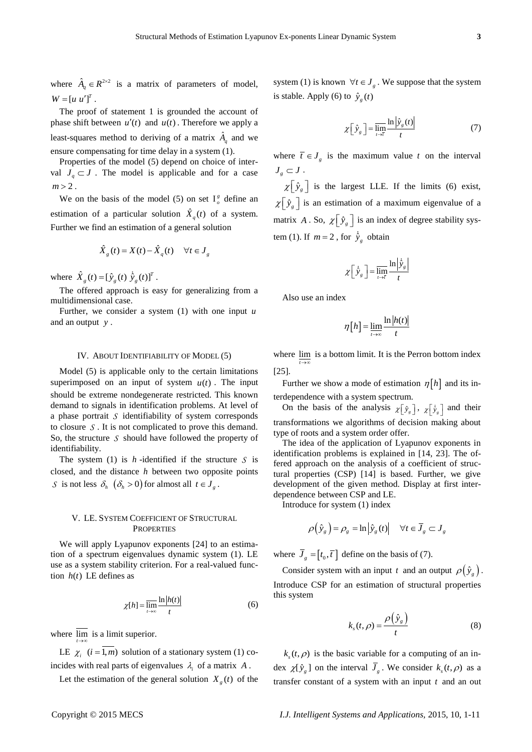where  $\hat{A}_q \in R^{2 \times 2}$  is a matrix of parameters of model,  $W = [u \ u']^{T}.$ 

The proof of statement 1 is grounded the account of phase shift between  $u'(t)$  and  $u(t)$ . Therefore we apply a least-squares method to deriving of a matrix  $\hat{A}_q$  and we ensure compensating for time delay in a system (1).

Properties of the model (5) depend on choice of interval  $J_q \subset J$ . The model is applicable and for a case  $m > 2$ .

We on the basis of the model (5) on set  $I_o^g$  define an estimation of a particular solution  $\hat{X}_q(t)$  of a system. Further we find an estimation of a general solution

$$
\hat{X}_g(t) = X(t) - \hat{X}_g(t) \quad \forall t \in J_g
$$

where  $\hat{X}_g(t) = [\hat{y}_g(t) \ \dot{\hat{y}}_g(t)]^T$ .

The offered approach is easy for generalizing from a multidimensional case.

Further, we consider a system (1) with one input *u* and an output *y* .

#### IV. ABOUT IDENTIFIABILITY OF MODEL (5)

Model (5) is applicable only to the certain limitations superimposed on an input of system  $u(t)$ . The input should be extreme nondegenerate restricted. This known demand to signals in identification problems. At level of a phase portrait *S* identifiability of system corresponds to closure *S* . It is not complicated to prove this demand. So, the structure  $S$  should have followed the property of identifiability.

The system (1) is  $h$ -identified if the structure  $S$  is closed, and the distance *h* between two opposite points *S* is not less  $\delta_h \left( \delta_h > 0 \right)$  for almost all  $t \in J_g$ .

## V. LE. SYSTEM COEFFICIENT OF STRUCTURAL **PROPERTIES**

We will apply Lyapunov exponents [24] to an estimation of a spectrum eigenvalues dynamic system (1). LE use as a system stability criterion. For a real-valued function  $h(t)$  LE defines as

$$
\chi[h] = \overline{\lim_{t \to \infty}} \frac{\ln |h(t)|}{t} \tag{6}
$$

where  $\lim_{t\to\infty}$  is a limit superior.

LE  $\chi_i$  (*i* = 1,*m*) solution of a stationary system (1) coincides with real parts of eigenvalues  $\lambda_i$  of a matrix A.

Let the estimation of the general solution  $X_g(t)$  of the

system (1) is known  $\forall t \in J_g$ . We suppose that the system is stable. Apply (6) to  $\hat{y}_g(t)$ 

$$
\chi\left[\hat{y}_g\right] = \overline{\lim_{t \to \tau}} \frac{\ln|\hat{y}_g(t)|}{t} \tag{7}
$$

where  $\overline{t} \in J_g$  is the maximum value t on the interval  $J_{g} \subset J$  .

 $\chi$   $\left[\hat{y}_g\right]$  is the largest LLE. If the limits (6) exist,  $\chi$   $[\hat{y}_g]$  is an estimation of a maximum eigenvalue of a matrix A. So,  $\chi \left[ \hat{y}_g \right]$  is an index of degree stability system (1). If  $m = 2$ , for  $\hat{y}_g$  obtain

$$
\chi \left[ \dot{\hat{y}}_g \right] = \overline{\lim_{t \to \bar{t}}} \frac{\ln \left| \dot{\hat{y}}_g \right|}{t}
$$

Also use an index

$$
\eta[h] = \lim_{t \to \infty} \frac{\ln|h(t)|}{t}
$$

where  $\lim_{t \to \infty}$  is a bottom limit. It is the Perron bottom index [25].

Further we show a mode of estimation  $\eta[h]$  and its interdependence with a system spectrum.

On the basis of the analysis  $\chi[\hat{y}_s]$ ,  $\chi[\hat{y}_s]$  and their transformations we algorithms of decision making about type of roots and a system order offer.

The idea of the application of Lyapunov exponents in identification problems is explained in [14, 23]. The offered approach on the analysis of a coefficient of structural properties (CSP) [14] is based. Further, we give development of the given method. Display at first interdependence between CSP and LE.

Introduce for system (1) index

$$
\rho(\hat{y}_g) = \rho_g = \ln|\hat{y}_g(t)| \quad \forall t \in \overline{J}_g \subset J_g
$$

where  $\bar{J}_g = [t_0, \bar{t}]$  define on the basis of (7).

Consider system with an input t and an output  $\rho(\hat{y}_g)$ . Introduce CSP for an estimation of structural properties this system

$$
k_s(t,\rho) = \frac{\rho(\hat{y}_s)}{t}
$$
 (8)

 $k<sub>s</sub>(t, \rho)$  is the basic variable for a computing of an index  $\chi[\hat{y}_g]$  on the interval  $\overline{J}_g$ . We consider  $k_s(t, \rho)$  as a transfer constant of a system with an input *t* and an out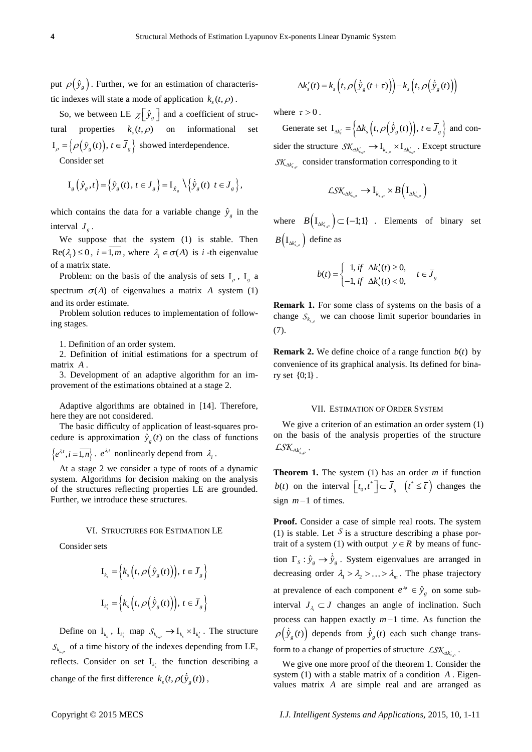put  $\rho(\hat{y}_g)$ . Further, we for an estimation of characteristic indexes will state a mode of application  $k_s(t, \rho)$ .

So, we between LE  $\chi \left[ \hat{y}_g \right]$  and a coefficient of structural properties  $k_s(t, \rho)$  on informational set  $I_{\rho} = \left\{ \rho(\hat{y}_{g}(t)), t \in \overline{J}_{g} \right\}$  showed interdependence.

Consider set

$$
\mathbf{I}_{g}\left(\hat{\mathbf{y}}_{g},t\right) = \left\{\hat{\mathbf{y}}_{g}\left(t\right),\,t\in\mathbf{J}_{g}\right\} = \mathbf{I}_{\hat{\mathbf{x}}_{g}}\left\{\left\{\hat{\mathbf{y}}_{g}\left(t\right)\,t\in\mathbf{J}_{g}\right\},\right\}
$$

which contains the data for a variable change  $\hat{y}_g$  in the interval  $J<sub>g</sub>$ .

We suppose that the system (1) is stable. Then  $\text{Re}(\lambda_i) \leq 0$ ,  $i = 1, m$ , where  $\lambda_i \in \sigma(A)$  is *i*-th eigenvalue of a matrix state.

Problem: on the basis of the analysis of sets  $I_{\rho}$ ,  $I_{g}$  a spectrum  $\sigma(A)$  of eigenvalues a matrix A system (1) and its order estimate.

Problem solution reduces to implementation of following stages.

1. Definition of an order system.

2. Definition of initial estimations for a spectrum of matrix *A* .

3. Development of an adaptive algorithm for an improvement of the estimations obtained at a stage 2.

Adaptive algorithms are obtained in [14]. Therefore, here they are not considered.

The basic difficulty of application of least-squares procedure is approximation  $\hat{y}_g(t)$  on the class of functions

 $\{e^{\lambda_i t}, i = \overline{1,n}\}\right\}$ .  $e^{\lambda_i t}$  nonlinearly depend from  $\lambda_i$ .

At a stage 2 we consider a type of roots of a dynamic system. Algorithms for decision making on the analysis of the structures reflecting properties LE are grounded. Further, we introduce these structures.

#### VI. STRUCTURES FOR ESTIMATION LE

Consider sets

$$
\mathbf{I}_{k_s} = \left\{ k_s \left( t, \rho \left( \hat{\mathbf{y}}_g(t) \right) \right), t \in \overline{J}_g \right\}
$$
  

$$
\mathbf{I}_{k'_s} = \left\{ k_s \left( t, \rho \left( \dot{\hat{\mathbf{y}}}_g(t) \right) \right), t \in \overline{J}_g \right\}
$$

Define on  $I_{k_s}$ ,  $I_{k'_s}$  map  $S_{k_{s,\rho}} \to I_{k_s} \times I_{k'_s}$ . The structure  $S_{k_{s,p}}$  of a time history of the indexes depending from LE, reflects. Consider on set  $I_{k'_{s}}$  the function describing a change of the first difference  $k_s(t, \rho(\hat{y}_g(t)),$ 

$$
\Delta k'_{s}(t) = k_{s} \left( t, \rho \left( \dot{\hat{y}}_{g}(t+\tau) \right) \right) - k_{s} \left( t, \rho \left( \dot{\hat{y}}_{g}(t) \right) \right)
$$

where  $\tau > 0$ .

Generate set  $I_{\Delta k'_s} = \left\{ \Delta k_s \left( t, \rho \left( \hat{y}_g(t) \right) \right), t \in \overline{J}_g \right\}$  and consider the structure  $\mathcal{SK}_{\Delta k'_{s,\rho}} \to I_{k_{s,\rho}} \times I_{\Delta k'_{s,\rho}}$ . Except structure  $\mathcal{SK}_{\Delta k'_{s,\rho}}$  consider transformation corresponding to it

$$
\mathcal{L}\mathcal{SK}_{\Delta k'_{s,\rho}} \to I_{k_{s,\rho}} \times B\Big(\mathrm{I}_{\Delta k'_{s,\rho}}\Big)
$$

where  $B(I_{\Delta k'_{s,\rho}}) \subset \{-1;1\}$  . Elements of binary set  $B(I_{\Delta k'_{s,\rho}})$  define as

$$
b(t) = \begin{cases} 1, & \text{if } \Delta k'_s(t) \ge 0, \\ -1, & \text{if } \Delta k'_s(t) < 0, \end{cases} \quad t \in \overline{J}_g
$$

**Remark 1.** For some class of systems on the basis of a change  $S_{k_{s,p}}$  we can choose limit superior boundaries in (7).

**Remark 2.** We define choice of a range function  $b(t)$  by convenience of its graphical analysis. Its defined for binary set {0;1} .

#### VII. ESTIMATION OF ORDER SYSTEM

We give a criterion of an estimation an order system (1) on the basis of the analysis properties of the structure  $\mathcal{L}\mathcal{S}\mathcal{K}_{\Delta k'_{s,\rho}}$  .

**Theorem 1.** The system  $(1)$  has an order *m* if function *b(t)* on the interval  $[t_0, t^*] \subset \overline{J}_g$   $(t^* \leq \overline{t})$  changes the sign  $m-1$  of times.

**Proof.** Consider a case of simple real roots. The system (1) is stable. Let  $S$  is a structure describing a phase portrait of a system (1) with output  $y \in R$  by means of function  $\Gamma_s$ :  $\hat{y}_g \rightarrow \hat{y}_g$ . System eigenvalues are arranged in decreasing order  $\lambda_1 > \lambda_2 > ... > \lambda_m$ . The phase trajectory at prevalence of each component  $e^{\lambda t} \in \hat{y}_g$  on some subinterval  $J_{\lambda_i} \subset J$  changes an angle of inclination. Such process can happen exactly  $m-1$  time. As function the  $\varphi(\hat{y}_g(t))$  depends from  $\hat{y}_g(t)$  each such change transform to a change of properties of structure  $LSK_{\Delta k'_{s,\rho}}$ .

We give one more proof of the theorem 1. Consider the system (1) with a stable matrix of a condition *A* . Eigenvalues matrix *A* are simple real and are arranged as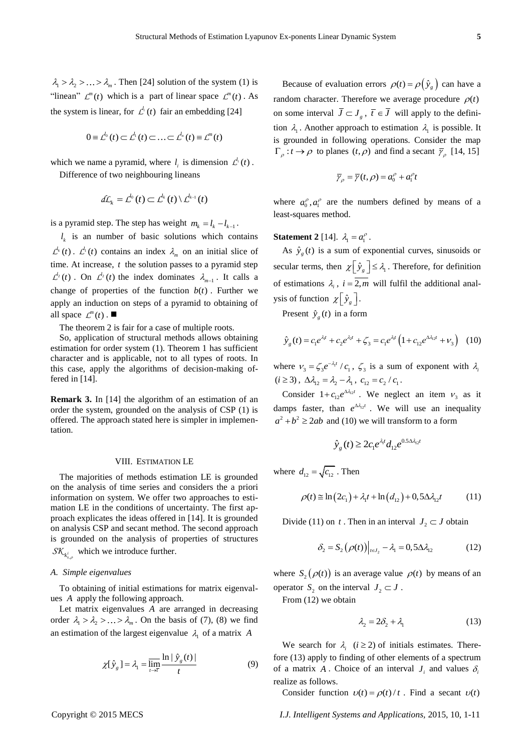*m* . Then [24] solution of the system (1) is "linean"  $\mathcal{L}^m(t)$  which is a part of linear space  $\mathcal{L}^m(t)$ . As the system is linear, for  $\mathcal{L}^{l_i}(t)$  fair an embedding [24]

$$
0 = \mathcal{L}^{l_0}(t) \subset \mathcal{L}^{l_1}(t) \subset \ldots \subset \mathcal{L}^{l_n}(t) \equiv \mathcal{L}^{m}(t)
$$

which we name a pyramid, where  $l_i$  is dimension  $\mathcal{L}^l$  (*t*).

Difference of two neighbouring lineans

$$
d\mathcal{L}_k = \mathcal{L}^{l_0}(t) \subset \mathcal{L}^{l_k}(t) \setminus \mathcal{L}^{l_{k-1}}(t)
$$

is a pyramid step. The step has weight  $m_k = l_k - l_{k-1}$ .

 $\frac{1}{4} \times \frac{5}{4} \times \frac{5}{16} \times \frac{3}{16} \times \frac{3}{16} \times \frac{3}{16} \times \frac{3}{16} \times \frac{3}{16} \times \frac{3}{16} \times \frac{3}{16} \times \frac{3}{16} \times \frac{3}{16} \times \frac{3}{16} \times \frac{3}{16} \times \frac{3}{16} \times \frac{3}{16} \times \frac{3}{16} \times \frac{3}{16} \times \frac{3}{16} \times \frac{3}{16} \times \frac{3}{16} \times \frac{3}{16} \times \$  $l_k$  is an number of basic solutions which contains  $\mathcal{L}^k(t)$ .  $\mathcal{L}^i(t)$  contains an index  $\lambda_m$  on an initial slice of time. At increase, *t* the solution passes to a pyramid step  $\mathcal{L}^{\prime}_2(t)$ . On  $\mathcal{L}^{\prime}_2(t)$  the index dominates  $\lambda_{m-1}$ . It calls a change of properties of the function  $b(t)$ . Further we apply an induction on steps of a pyramid to obtaining of all space  $\mathcal{L}^m(t)$ .

The theorem 2 is fair for a case of multiple roots.

So, application of structural methods allows obtaining estimation for order system (1). Theorem 1 has sufficient character and is applicable, not to all types of roots. In this case, apply the algorithms of decision-making offered in [14].

**Remark 3.** In [14] the algorithm of an estimation of an order the system, grounded on the analysis of CSP (1) is offered. The approach stated here is simpler in implementation.

#### VIII. ESTIMATION LE

The majorities of methods estimation LE is grounded on the analysis of time series and considers the a priori information on system. We offer two approaches to estimation LE in the conditions of uncertainty. The first approach explicates the ideas offered in [14]. It is grounded on analysis CSP and secant method. The second approach is grounded on the analysis of properties of structures  $SK_{k_{s,p}^{i}}$  which we introduce further.

## *A. Simple eigenvalues*

To obtaining of initial estimations for matrix eigenvalues *A* apply the following approach.

Let matrix eigenvalues *A* are arranged in decreasing order  $\lambda_1 > \lambda_2 > ... > \lambda_m$ . On the basis of (7), (8) we find an estimation of the largest eigenvalue  $\lambda_1$  of a matrix A

$$
\chi[\hat{y}_g] = \lambda_1 = \overline{\lim_{t \to \tilde{t}}} \frac{\ln|\hat{y}_g(t)|}{t}
$$
(9)

Because of evaluation errors  $\rho(t) = \rho(\hat{y}_g)$  can have a random character. Therefore we average procedure  $\rho(t)$ on some interval  $\overline{J} \subset J_g$ ,  $\overline{t} \in \overline{J}$  will apply to the definition  $\lambda_1$ . Another approach to estimation  $\lambda_1$  is possible. It is grounded in following operations. Consider the map  $\Gamma_{\rho}$ :  $t \to \rho$  to planes  $(t, \rho)$  and find a secant  $\bar{\gamma}_{\rho}$  [14, 15]

$$
\overline{\gamma}_{\rho} = \overline{\gamma}(t,\rho) = a_0^{\rho} + a_1^{\rho}t
$$

where  $a_0^{\rho}, a_1^{\rho}$  are the numbers defined by means of a least-squares method.

# **Statement 2** [14].  $\lambda_1 = a_1^{\rho}$ .

As  $\hat{y}_g(t)$  is a sum of exponential curves, sinusoids or secular terms, then  $\chi \left[ \hat{y}_g \right] \leq \lambda_1$ . Therefore, for definition of estimations  $\lambda_i$ ,  $i = 2, m$  will fulfil the additional analysis of function  $\chi\left[\hat{y}_g\right]$ .

Present  $\hat{y}_g(t)$  in a form

$$
\hat{y}_g(t) = c_1 e^{\lambda_1 t} + c_2 e^{\lambda_2 t} + \zeta_3 = c_1 e^{\lambda_1 t} \left( 1 + c_{12} e^{\Delta \lambda_{12} t} + \nu_3 \right) \tag{10}
$$

where  $v_3 = \zeta_3 e^{-\lambda_i t} / c_1$ ,  $\zeta_3$  is a sum of exponent with  $\lambda_i$  $(i \geq 3)$ ,  $\Delta \lambda_{12} = \lambda_2 - \lambda_1$ ,  $c_{12} = c_2 / c_1$ .

Consider  $1 + c_{12}e^{\lambda \lambda_{12}t}$ . We neglect an item  $v_3$  as it damps faster, than  $e^{\Delta \lambda_{12}t}$ . We will use an inequality  $a^2 + b^2 \ge 2ab$  and (10) we will transform to a form

$$
\hat{y}_g(t) \ge 2c_1 e^{\lambda_1 t} d_{12} e^{0.5 \Delta \lambda_{12} t}
$$

where  $d_{12} = \sqrt{c_{12}}$ . Then

$$
\rho(t) \approx \ln(2c_1) + \lambda_1 t + \ln(d_{12}) + 0.5\Delta\lambda_{12}t
$$
 (11)

Divide (11) on t. Then in an interval  $J_2 \subset J$  obtain

$$
\delta_2 = S_2(\rho(t))\Big|_{t=t_2} - \lambda_1 = 0,5\Delta\lambda_{12} \tag{12}
$$

where  $S_2(\rho(t))$  is an average value  $\rho(t)$  by means of an operator  $S_2$  on the interval  $J_2 \subset J$ .

From (12) we obtain

$$
\lambda_2 = 2\delta_2 + \lambda_1 \tag{13}
$$

We search for  $\lambda_i$  ( $i \ge 2$ ) of initials estimates. Therefore (13) apply to finding of other elements of a spectrum of a matrix A. Choice of an interval  $J_i$  and values  $\delta_i$ realize as follows.

Consider function  $v(t) = \rho(t)/t$ . Find a secant  $v(t)$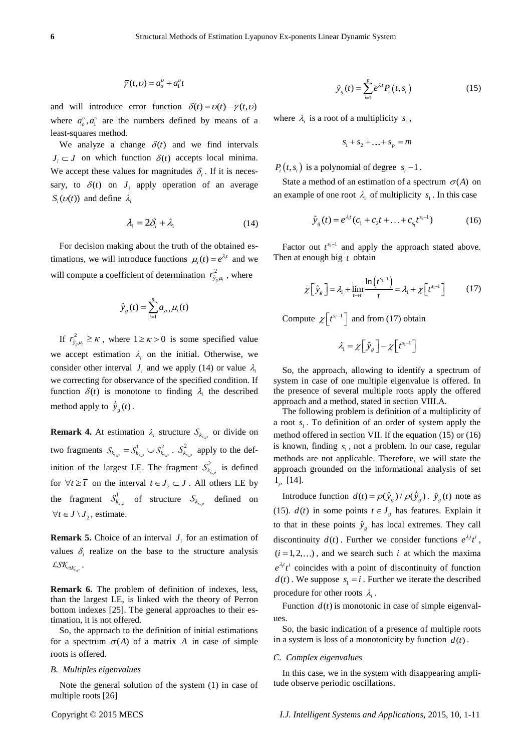$$
\overline{\gamma}(t,\nu) = a_o^{\nu} + a_1^{\nu}t
$$

and will introduce error function  $\delta(t) = v(t) - \overline{\gamma}(t, v)$ where  $a_0^{\nu}, a_1^{\nu}$  are the numbers defined by means of a least-squares method.

We analyze a change  $\delta(t)$  and we find intervals  $J_i \subset J$  on which function  $\delta(t)$  accepts local minima. We accept these values for magnitudes  $\delta_i$ . If it is necessary, to  $\delta(t)$  on  $J_i$  apply operation of an average  $S_i(\nu(t))$  and define  $\lambda_i$ 

$$
\lambda_i = 2\delta_i + \lambda_1 \tag{14}
$$

For decision making about the truth of the obtained estimations, we will introduce functions  $\mu_i(t) = e^{\lambda_i t}$  and we will compute a coefficient of determination  $r_{\hat{y}_g\mu_i}^2$ , where

$$
\hat{y}_g(t) = \sum_{i=1}^n a_{\mu,i} \mu_i(t)
$$

If  $r_{\hat{y}_{g\mu_i}}^2 \ge \kappa$ , where  $1 \ge \kappa > 0$  is some specified value we accept estimation  $\lambda_i$  on the initial. Otherwise, we consider other interval  $J_i$  and we apply (14) or value  $\lambda_i$ we correcting for observance of the specified condition. If function  $\delta(t)$  is monotone to finding  $\lambda_i$  the described method apply to  $\hat{y}_g(t)$ .

**Remark 4.** At estimation  $\lambda_i$  structure  $S_{k_{s,p}}$  or divide on two fragments  $S_{k_{s,\rho}} = S_{k_{s,\rho}}^1 \cup S_{k_{s,\rho}}^2$  $\mathcal{S}_{k_{s,\rho}}^{} = \mathcal{S}_{k_{s,\rho}}^{1} \cup \mathcal{S}_{k_{s,\rho}}^{2}$  .  $\mathcal{S}_{k_{s,\rho}}^{2}$ 2  $S_{k_{s,p}}^2$  apply to the definition of the largest LE. The fragment  $S_{k_{s}}^2$ 2  $S_{k_{s,\rho}}^2$  is defined for  $\forall t \geq \overline{t}$  on the interval  $t \in J_2 \subset J$ . All others LE by the fragment  $S_{k_{s,s}}^1$ 1  $S^1_{k_{s,p}}$  of structure  $S_{k_{s,p}}$  defined on  $\forall t \in J \setminus J_2$ , estimate.

**Remark 5.** Choice of an interval  $J_i$  for an estimation of values  $\delta_i$  realize on the base to the structure analysis  $\mathcal{L}\mathcal{S}\mathcal{K}_{\Delta k'_{s,\rho}}$  .

**Remark 6.** The problem of definition of indexes, less, than the largest LE, is linked with the theory of Perron bottom indexes [25]. The general approaches to their estimation, it is not offered.

So, the approach to the definition of initial estimations for a spectrum  $\sigma(A)$  of a matrix A in case of simple roots is offered.

#### *B. Multiples eigenvalues*

Note the general solution of the system (1) in case of multiple roots [26]

$$
\hat{y}_g(t) = \sum_{i=1}^{p} e^{\lambda_i t} P_i(t, s_i)
$$
\n(15)

where  $\lambda_i$  is a root of a multiplicity  $s_i$ ,

$$
s_1 + s_2 + \ldots + s_p = m
$$

 $P_i(t, s_i)$  is a polynomial of degree  $s_i - 1$ .

State a method of an estimation of a spectrum  $\sigma(A)$  on an example of one root  $\lambda_1$  of multiplicity  $s_1$ . In this case

$$
\hat{y}_g(t) = e^{\lambda_i t} (c_1 + c_2 t + \dots + c_{s_1} t^{s_1 - 1})
$$
\n(16)

Factor out  $t^{s_1-1}$  and apply the approach stated above. Then at enough big *t* obtain

$$
\chi\left[\hat{y}_g\right] = \lambda_1 + \overline{\lim_{t \to \bar{t}}} \frac{\ln\left(t^{s_1 - 1}\right)}{t} = \lambda_1 + \chi\left[t^{s_1 - 1}\right] \tag{17}
$$

Compute  $\chi[t^{s_1-1}]$  and from (17) obtain

 $\lambda_1 = \chi \left[ \hat{y}_g \right] - \chi \left[ t^{s_1 - 1} \right]$ 

So, the approach, allowing to identify a spectrum of system in case of one multiple eigenvalue is offered. In the presence of several multiple roots apply the offered approach and a method, stated in section VIII.A.

The following problem is definition of a multiplicity of a root  $s_1$ . To definition of an order of system apply the method offered in section VII. If the equation (15) or (16) is known, finding  $s<sub>1</sub>$ , not a problem. In our case, regular methods are not applicable. Therefore, we will state the approach grounded on the informational analysis of set  $I_{\rho}$  [14].

Introduce function  $d(t) = \rho(\hat{y}_g) / \rho(\dot{\hat{y}}_g)$ .  $\hat{y}_g(t)$  note as (15).  $d(t)$  in some points  $t \in J_g$  has features. Explain it to that in these points  $\hat{y}_g$  has local extremes. They call discontinuity  $d(t)$ . Further we consider functions  $e^{\lambda_t t}t^i$ ,  $(i = 1, 2, ...)$ , and we search such *i* at which the maxima  $e^{\lambda_i t} t^i$  coincides with a point of discontinuity of function  $d(t)$ . We suppose  $s_1 = i$ . Further we iterate the described procedure for other roots  $\lambda_i$ .

Function  $d(t)$  is monotonic in case of simple eigenvalues.

So, the basic indication of a presence of multiple roots in a system is loss of a monotonicity by function  $d(t)$ .

#### *C. Complex eigenvalues*

In this case, we in the system with disappearing amplitude observe periodic oscillations.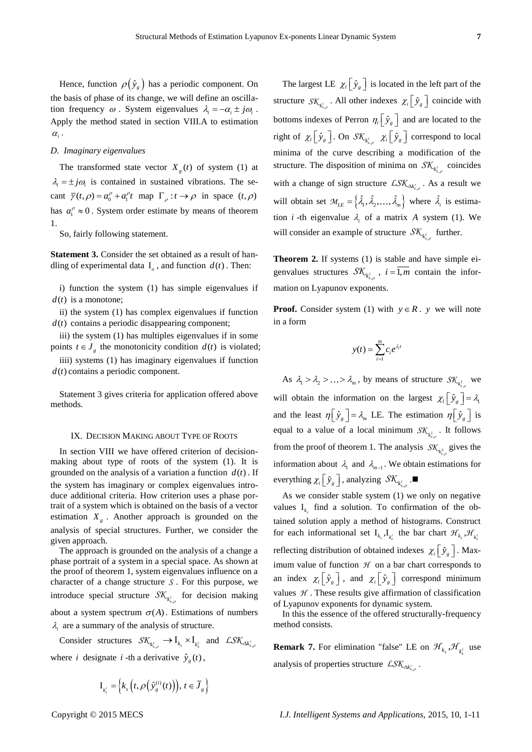Hence, function  $\rho(\hat{y}_g)$  has a periodic component. On the basis of phase of its change, we will define an oscillation frequency  $\omega$ . System eigenvalues  $\lambda_i = -\alpha_i \pm j\omega_i$ . Apply the method stated in section VIII.A to estimation  $\alpha_i$ .

## *D. Imaginary eigenvalues*

The transformed state vector  $X_g(t)$  of system (1) at  $\lambda_i = \pm j\omega_i$  is contained in sustained vibrations. The secant  $\overline{\gamma}(t, \rho) = a_0^{\rho} + a_1^{\rho} t$  map  $\Gamma_{\rho} : t \to \rho$  in space  $(t, \rho)$ has  $a_1^{\rho} \approx 0$ . System order estimate by means of theorem 1.

So, fairly following statement.

**Statement 3.** Consider the set obtained as a result of handling of experimental data  $I_0$ , and function  $d(t)$ . Then:

i) function the system (1) has simple eigenvalues if  $d(t)$  is a monotone;

ii) the system (1) has complex eigenvalues if function  $d(t)$  contains a periodic disappearing component;

iii) the system (1) has multiples eigenvalues if in some points  $t \in J_g$  the monotonicity condition  $d(t)$  is violated;

iiii) systems (1) has imaginary eigenvalues if function  $d(t)$  contains a periodic component.

Statement 3 gives criteria for application offered above methods.

#### IX. DECISION MAKING ABOUT TYPE OF ROOTS

In section VIII we have offered criterion of decisionmaking about type of roots of the system (1). It is grounded on the analysis of a variation a function  $d(t)$ . If the system has imaginary or complex eigenvalues introduce additional criteria. How criterion uses a phase portrait of a system which is obtained on the basis of a vector estimation  $X<sub>g</sub>$ . Another approach is grounded on the analysis of special structures. Further, we consider the given approach.

The approach is grounded on the analysis of a change a phase portrait of a system in a special space. As shown at the proof of theorem 1, system eigenvalues influence on a character of a change structure *S* . For this purpose, we introduce special structure  $\mathcal{SK}_{k_{s,\rho}^i}$  for decision making about a system spectrum  $\sigma(A)$ . Estimations of numbers  $\lambda_i$  are a summary of the analysis of structure.

Consider structures  $\mathcal{SK}_{k_{s,p}^i} \to I_{k_s} \times I_{k_s^i}$  and  $\mathcal{LSK}_{\Delta k'_{s,p}}$ where *i* designate *i*-th a derivative  $\hat{y}_g(t)$ ,

$$
\mathbf{I}_{k_s^i} = \left\{ k_s \left( t, \rho \left( \hat{y}_g^{(i)}(t) \right) \right), t \in \overline{J}_g \right\}
$$

The largest LE  $\chi_l$   $\left[\hat{y}_g\right]$  is located in the left part of the structure  $SK_{k_{s,p}^{i}}$ . All other indexes  $\chi_{i} \left[ \hat{y}_{g} \right]$  coincide with bottoms indexes of Perron  $\eta_i \left[ \hat{y}_g \right]$  and are located to the right of  $\chi_l$   $\left[\hat{y}_g\right]$ . On  $\mathcal{SK}_{k^i_{s,\rho}}$   $\chi_l$   $\left[\hat{y}_g\right]$  correspond to local minima of the curve describing a modification of the structure. The disposition of minima on  $\mathcal{SK}_{k_{s,p}^{i}}$  coincides with a change of sign structure  $LSK_{\Delta k'_{s,o}}$ . As a result we will obtain set  $\mathcal{M}_{LE} = \left\{ \hat{\lambda}_1, \hat{\lambda}_2, \dots, \hat{\lambda}_m \right\}$  where  $\hat{\lambda}_i$  is estimation *i* -th eigenvalue  $\lambda_i$  of a matrix A system (1). We will consider an example of structure  $\mathcal{SK}_{k_{s,\rho}^{i}}$  further.

**Theorem 2.** If systems (1) is stable and have simple eigenvalues structures  $\mathcal{SK}_{k_{s,p}^i}$ ,  $i = \overline{1,m}$  contain the information on Lyapunov exponents.

**Proof.** Consider system (1) with  $y \in R$ . *y* we will note in a form

$$
y(t) = \sum_{i=1}^m c_i e^{\lambda_i t}
$$

As  $\lambda_1 > \lambda_2 > ... > \lambda_m$ , by means of structure  $SK_{\lambda_{s,o}^1}$  we will obtain the information on the largest  $\chi_l \left[ \hat{y}_g \right] = \lambda_l$ and the least  $\eta \left[ \hat{y}_g \right] = \lambda_m$  LE. The estimation  $\eta \left[ \hat{y}_g \right]$  is equal to a value of a local minimum  $\mathcal{SK}_{k_{s,p}^1}$ . It follows from the proof of theorem 1. The analysis  $\mathcal{SK}_{k_{s,p}^2}$  gives the information about  $\lambda_1$  and  $\lambda_{m-1}$ . We obtain estimations for everything  $\chi_i \big[ \hat{y}_s \big]$  , analyzing  $\mathcal{SK}_{k_{s,\rho}^i}$  .

As we consider stable system (1) we only on negative values  $I_{k_s}$  find a solution. To confirmation of the obtained solution apply a method of histograms. Construct for each informational set  $I_{k_s}, I_{k_s^i}$  the bar chart  $\mathcal{H}_{k_s}, \mathcal{H}_{k_s^i}$ reflecting distribution of obtained indexes  $\chi_i \left[ \hat{y}_g \right]$ . Maximum value of function  $H$  on a bar chart corresponds to an index  $\chi_l\left[\hat{y}_g\right]$ , and  $\chi_l\left[\hat{y}_g\right]$  correspond minimum values  $H$ . These results give affirmation of classification of Lyapunov exponents for dynamic system.

In this the essence of the offered structurally-frequency method consists.

**Remark 7.** For elimination "false" LE on  $\mathcal{H}_{k_s}$ ,  $\mathcal{H}_{k_s}$  use analysis of properties structure  $LSK_{\Delta k'_{s,\rho}}$ .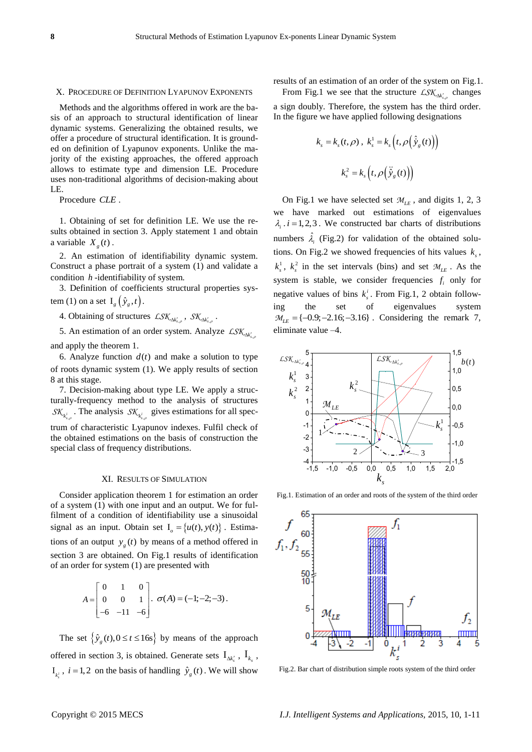#### X. PROCEDURE OF DEFINITION LYAPUNOV EXPONENTS

Methods and the algorithms offered in work are the basis of an approach to structural identification of linear dynamic systems. Generalizing the obtained results, we offer a procedure of structural identification. It is grounded on definition of Lyapunov exponents. Unlike the majority of the existing approaches, the offered approach allows to estimate type and dimension LE. Procedure uses non-traditional algorithms of decision-making about LE.

Procedure *CLE* .

1. Obtaining of set for definition LE. We use the results obtained in section 3. Apply statement 1 and obtain a variable  $X_g(t)$ .

2. An estimation of identifiability dynamic system. Construct a phase portrait of a system (1) and validate a condition *h* -identifiability of system.

3. Definition of coefficients structural properties system (1) on a set  $I_g(\hat{y}_g,t)$ .

4. Obtaining of structures  $\mathcal{LSK}_{\Delta k'_{s,\rho}}$ ,  $\mathcal{SK}_{\Delta k'_{s,\rho}}$ .

5. An estimation of an order system. Analyze  $\text{LSK}_{\Delta k'_{s,\rho}}$ 

and apply the theorem 1.

6. Analyze function  $d(t)$  and make a solution to type of roots dynamic system (1). We apply results of section 8 at this stage.

7. Decision-making about type LE. We apply a structurally-frequency method to the analysis of structures  $SK_{k_{s,p}^{i}}$ . The analysis  $SK_{k_{s,p}^{i}}$  gives estimations for all spectrum of characteristic Lyapunov indexes. Fulfil check of the obtained estimations on the basis of construction the special class of frequency distributions.

#### XI. RESULTS OF SIMULATION

Consider application theorem 1 for estimation an order of a system (1) with one input and an output. We for fulfilment of a condition of identifiability use a sinusoidal signal as an input. Obtain set  $I_0 = \{u(t), y(t)\}\.$  Estimations of an output  $y_g(t)$  by means of a method offered in section 3 are obtained. On Fig.1 results of identification of an order for system (1) are presented with

$$
A = \begin{bmatrix} 0 & 1 & 0 \\ 0 & 0 & 1 \\ -6 & -11 & -6 \end{bmatrix}, \ \sigma(A) = (-1, -2, -3).
$$

The set  $\left\{\hat{y}_g(t), 0 \le t \le 16s\right\}$  by means of the approach offered in section 3, is obtained. Generate sets  $I_{\Delta k'_s}$ ,  $I_{k_s}$ ,  $I_{k_s^i}$ ,  $i = 1, 2$  on the basis of handling  $\hat{y}_g(t)$ . We will show

results of an estimation of an order of the system on Fig.1.

From Fig.1 we see that the structure  $LSK_{\Delta k'_{s,p}}$  changes a sign doubly. Therefore, the system has the third order. In the figure we have applied following designations

$$
k_{s} = k_{s}(t, \rho), \ k_{s}^{1} = k_{s}\left(t, \rho\left(\hat{\dot{y}}_{g}(t)\right)\right)
$$

$$
k_{s}^{2} = k_{s}\left(t, \rho\left(\hat{\dot{y}}_{g}(t)\right)\right)
$$

On Fig.1 we have selected set  $M_{LE}$ , and digits 1, 2, 3 we have marked out estimations of eigenvalues  $\lambda_i$  . *i* = 1,2,3. We constructed bar charts of distributions numbers  $\hat{\lambda}_i$  (Fig.2) for validation of the obtained solutions. On Fig.2 we showed frequencies of hits values  $k_s$ ,  $k_s^1$ ,  $k_s^2$  in the set intervals (bins) and set  $M_{LE}$ . As the system is stable, we consider frequencies  $f_i$  only for negative values of bins  $k_s^i$ . From Fig.1, 2 obtain following the set of eigenvalues system  $M_{LE} = \{-0.9; -2.16; -3.16\}$ . Considering the remark 7, eliminate value –4. Fig.1. anges<br>
brder.<br>  $\alpha$ , 2, 3<br>  $\alpha$ lues<br>
stions<br>
solu-<br>  $\alpha$ s  $k_s$ , stee<br>
y for<br>  $\alpha$ <br>
blow-<br>
ystem<br>
rk 7,<br>  $b(t)$ *M*<br> *Me* constructed be<br> *Me* constructed b<br> *Hig.2)* for validati<br> *A* expect intervals (bir<br> *A* expect intervals (bir<br> *A* expect intervals (bir<br> *A* expect of<br> *A* expect of<br> *A* expect of<br> *A* expect of<br> *A* expect



Fig.1. Estimation of an order and roots of the system of the third order



Fig.2. Bar chart of distribution simple roots system of the third order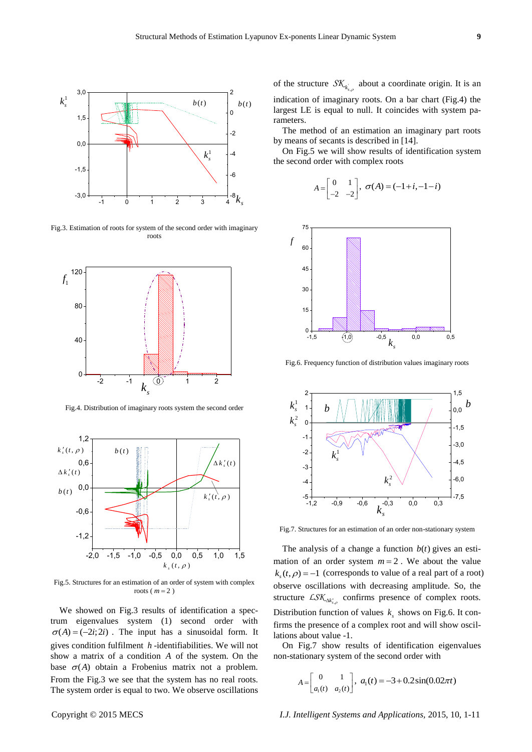

Fig.3. Estimation of roots for system of the second order with imaginary roots



Fig.4. Distribution of imaginary roots system the second order



Fig.5. Structures for an estimation of an order of system with complex roots  $(m=2)$ 

We showed on Fig.3 results of identification a spectrum eigenvalues system (1) second order with  $\sigma(A) = (-2i; 2i)$ . The input has a sinusoidal form. It gives condition fulfilment *h* -identifiabilities. We will not show a matrix of a condition *A* of the system. On the base  $\sigma(A)$  obtain a Frobenius matrix not a problem. From the Fig.3 we see that the system has no real roots. The system order is equal to two. We observe oscillations

 $\frac{1}{2}$  largest LE is equal to null. It coincides with system paof the structure  $\mathcal{SK}_{k_{s,p}}$  about a coordinate origin. It is an indication of imaginary roots. On a bar chart (Fig.4) the rameters.

> The method of an estimation an imaginary part roots by means of secants is described in [14].

> On Fig.5 we will show results of identification system the second order with complex roots

$$
A = \begin{bmatrix} 0 & 1 \\ -2 & -2 \end{bmatrix}, \ \sigma(A) = (-1+i, -1-i)
$$



Fig.6. Frequency function of distribution values imaginary roots



Fig.7. Structures for an estimation of an order non-stationary system

The analysis of a change a function  $b(t)$  gives an estimation of an order system  $m = 2$ . We about the value  $k_s(t, \rho) = -1$  (corresponds to value of a real part of a root) observe oscillations with decreasing amplitude. So, the structure  $LSK_{\Delta k'_{s,\rho}}$  confirms presence of complex roots. Distribution function of values  $k<sub>s</sub>$  shows on Fig.6. It confirms the presence of a complex root and will show oscillations about value -1.

On Fig.7 show results of identification eigenvalues non-stationary system of the second order with

$$
A = \begin{bmatrix} 0 & 1 \\ a_1(t) & a_2(t) \end{bmatrix}, \ a_1(t) = -3 + 0.2\sin(0.02\pi t)
$$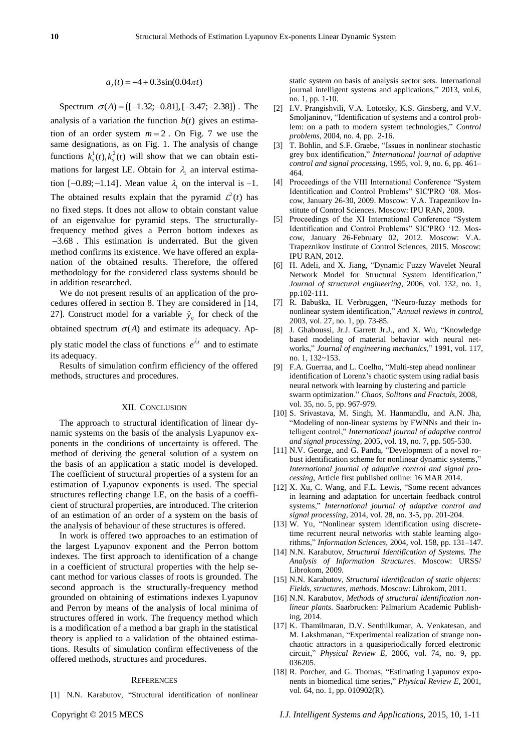## $a_2(t) = -4 + 0.3\sin(0.04\pi t)$

Spectrum  $\sigma(A) = ([-1.32; -0.81], [-3.47; -2.38])$ . The analysis of a variation the function  $b(t)$  gives an estimation of an order system  $m = 2$ . On Fig. 7 we use the same designations, as on Fig. 1. The analysis of change functions  $k_s^1(t)$ ,  $k_s^2(t)$  will show that we can obtain estimations for largest LE. Obtain for  $\lambda_1$  an interval estimation  $[-0.89; -1.14]$ . Mean value  $\lambda_1$  on the interval is -1. The obtained results explain that the pyramid  $\mathcal{L}^2(t)$  has no fixed steps. It does not allow to obtain constant value of an eigenvalue for pyramid steps. The structurallyfrequency method gives a Perron bottom indexes as 3.68 . This estimation is underrated. But the given method confirms its existence. We have offered an explanation of the obtained results. Therefore, the offered methodology for the considered class systems should be in addition researched.

We do not present results of an application of the procedures offered in section 8. They are considered in [14, 27]. Construct model for a variable  $\hat{y}_g$  for check of the obtained spectrum  $\sigma(A)$  and estimate its adequacy. Apply static model the class of functions  $e^{\hat{\lambda}t}$  and to estimate

its adequacy. Results of simulation confirm efficiency of the offered

methods, structures and procedures.

#### XII. CONCLUSION

The approach to structural identification of linear dynamic systems on the basis of the analysis Lyapunov exponents in the conditions of uncertainty is offered. The method of deriving the general solution of a system on the basis of an application a static model is developed. The coefficient of structural properties of a system for an estimation of Lyapunov exponents is used. The special structures reflecting change LE, on the basis of a coefficient of structural properties, are introduced. The criterion of an estimation of an order of a system on the basis of the analysis of behaviour of these structures is offered.

In work is offered two approaches to an estimation of the largest Lyapunov exponent and the Perron bottom indexes. The first approach to identification of a change in a coefficient of structural properties with the help secant method for various classes of roots is grounded. The second approach is the structurally-frequency method grounded on obtaining of estimations indexes Lyapunov and Perron by means of the analysis of local minima of structures offered in work. The frequency method which is a modification of a method a bar graph in the statistical theory is applied to a validation of the obtained estimations. Results of simulation confirm effectiveness of the offered methods, structures and procedures.

#### **REFERENCES**

[1] N.N. Karabutov, "Structural identification of nonlinear

static system on basis of analysis sector sets. International journal intelligent systems and applications," 2013, vol.6, no. 1, pp. 1-10.

- [2] I.V. Prangishvili, V.А. Lototsky, K.S. Ginsberg, and V.V. Smoljaninov, "Identification of systems and a control problem: on a path to modern system technologies," *Control problems*, 2004, no. 4, pp. 2-16.
- [3] T. Bohlin, and S.F. Graebe, "Issues in nonlinear stochastic grey box identification," *International journal of adaptive control and signal processing*, 1995, vol. 9, no. 6, pp. 461– 464.
- [4] Proceedings of the VIII International Conference "System Identification and Control Problems" SIC'PRO '08. Moscow, January 26-30, 2009. Moscow: V.A. Trapeznikov Institute of Control Sciences. Moscow: IPU RAN, 2009.
- [5] Proceedings of the XI International Conference "System Identification and Control Problems" SIC'PRO '12. Moscow, January 26-February 02, 2012. Moscow: V.A. Trapeznikov Institute of Control Sciences, 2015. Moscow: IPU RAN, 2012.
- [6] H. Adeli, and X. Jiang, "Dynamic Fuzzy Wavelet Neural Network Model for Structural System Identification," *[Journal of structural engineering](http://ascelibrary.org/journal/jsendh)*, 2006, vol. 132, no. 1, pp.102-111.
- [7] R. Babuška, H. [Verbruggen,](http://www.sciencedirect.com/science/article/pii/S1367578803000099) "Neuro-fuzzy methods for nonlinear system identification," *Annual reviews in control*, 2003, vol. 27, no. 1, pp. 73-85.
- [8] J. Ghaboussi, Jr.J. Garrett Jr.J., and X. Wu, "Knowledge based modeling of material behavior with neural networks," *Journal of engineering mechanics*," 1991, vol. 117, no. 1, 132~153.
- [9] F.A. Guerr[aa,](http://www.sciencedirect.com/science/article/pii/S0960077906005443#aff1) and L. Coelho, "Multi-step ahead nonlinear identification of Lorenz's chaotic system using radial basis neural network with learning by clustering and particle swarm optimization." *Chaos, Solitons and Fractals*, 2008, vol. 35, no. 5, pp. 967-979.
- [10] S. Srivastava, M. Singh, M. Hanmandlu, and A.N. Jha, "Modeling of non-linear systems by FWNNs and their intelligent control," *International journal of adaptive control and signal processing*, 2005, vol. 19, no. 7, pp. 505-530.
- [11] N.V. George, and G. Panda, "Development of a novel robust identification scheme for nonlinear dynamic systems," *International journal of adaptive control and signal processing*, Article first published online: 16 MAR 2014.
- [12] X. Xu, C. Wang, and F.L. Lewis, "Some recent advances in learning and adaptation for uncertain feedback control systems," *International journal of adaptive control and signal processing*, 2014, vol. 28, no. 3-5, pp. 201-204.
- [13] W. Yu, "Nonlinear system identification using discretetime recurrent neural networks with stable learning algorithms," *Information Sciences*, 2004, vol. 158, pp. 131–147.
- [14] N.N. Karabutov, *Structural Identification of Systems. The Analysis of Information Structures*. Moscow: URSS/ Librokom, 2009.
- [15] N.N. Karabutov, *Structural identification of static objects: Fields, structures, methods*. Moscow: Librokom, 2011.
- [16] N.N. Karabutov, *Methods of structural identification nonlinear plants*. Saarbrucken: Palmarium Academic Publishing, 2014.
- [17] K. Thamilmaran, D.V. Senthilkumar, A. Venkatesan, and M. Lakshmanan, "Experimental realization of strange nonchaotic attractors in a quasiperiodically forced electronic circuit," *[Physical Review E](http://pre.aps.org/)*, 2006, vol. 74, no. 9, pp. 036205.
- [18] R. Porcher, and G. Thomas, "Estimating Lyapunov exponents in biomedical time series," *Physical Review E*, 2001, vol. 64, no. 1, pp. 010902(R).